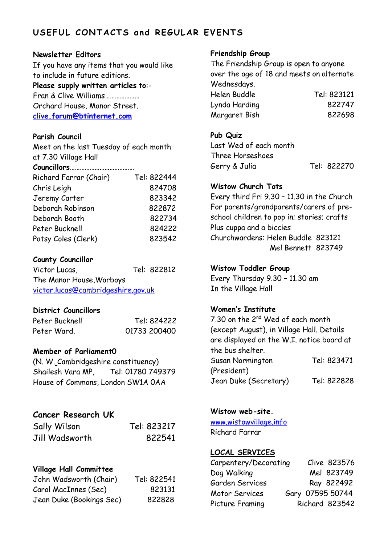# **USEF UL CONTACTS a nd REGULAR EVENTS**

#### **Newsletter Editors**

If you have any items that you would like to include in future editions.

# **Please supply written articles to**:-

Fran & Clive Williams………………… Orchard House, Manor Street. **[clive.forum@btinternet.com](mailto:clive.forum@btinternet.com)**

#### **Parish Council**

Meet on the last Tuesday of each month at 7.30 Village Hall

| Richard Farrar (Chair) | Tel: 822444 |
|------------------------|-------------|
| Chris Leigh            | 824708      |
| Jeremy Carter          | 823342      |
| Deborah Robinson       | 822872      |
| Deborah Booth          | 822734      |
| Peter Bucknell         | 824222      |
| Patsy Coles (Clerk)    | 823542      |

# **County Councillor**

Victor Lucas, Tel: 822812 The Manor House,Warboys [victor.lucas@cambridgeshire.gov.uk](mailto:victor.lucas@cambridgeshire.gov.uk)

# **District Councillors**

| Peter Bucknell | Tel: 824222  |
|----------------|--------------|
| Peter Ward.    | 01733 200400 |

# **Member of Parliament0**

(N. W. Cambridgeshire constituency) Shailesh Vara MP, Tel: 01780 749379 House of Commons, London SW1A 0AA

# **Cancer Research UK**

| Sally Wilson   | Tel: 823217 |
|----------------|-------------|
| Jill Wadsworth | 822541      |

# **Village Hall Committee**

| John Wadsworth (Chair)   | Tel: 822541 |
|--------------------------|-------------|
| Carol MacInnes (Sec)     | 823131      |
| Jean Duke (Bookings Sec) | 822828      |

#### **Friendship Group**

The Friendship Group is open to anyone over the age of 18 and meets on alternate Wednesdays. Helen Buddle Tel: 823121 Lynda Harding 822747 Margaret Bish 822698

# **Pub Quiz**

Last Wed of each month Three Horseshoes Gerry & Julia Tel: 822270

# **Wistow Church Tots**

Every third Fri 9.30 – 11.30 in the Church For parents/grandparents/carers of preschool children to pop in; stories; crafts Plus cuppa and a biccies Churchwardens: Helen Buddle 823121 Mel Bennett 823749

#### **Wistow Toddler Group**

Every Thursday 9.30 – 11.30 am In the Village Hall

# **Women's Institute**

7.30 on the 2nd Wed of each month (except August), in Village Hall. Details are displayed on the W.I. notice board at the bus shelter. Susan Normington Tel: 823471 (President) Jean Duke (Secretary) Tel: 822828

# **Wistow web-site.**

[www.wistowvillage.info](http://www.wistowvillage.info/) Richard Farrar

#### **LOCAL SERVICES**

| Carpentery/Decorating | Clive 823576     |
|-----------------------|------------------|
| Dog Walking           | Mel 823749       |
| Garden Services       | Ray 822492       |
| Motor Services        | Gary 07595 50744 |
| Picture Framing       | Richard 823542   |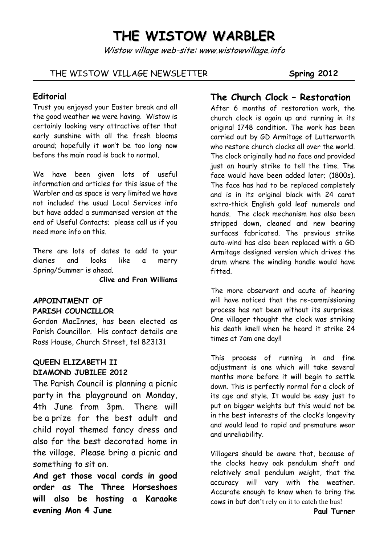# **THE WISTOW WARBLER**

Wistow village web-site: www.wistowvillage.info

#### THE WISTOW VILLAGE NEWSLETTER **Spring 2012**

#### **Editorial**

Trust you enjoyed your Easter break and all the good weather we were having. Wistow is certainly looking very attractive after that early sunshine with all the fresh blooms around; hopefully it won't be too long now before the main road is back to normal.

We have been given lots of useful information and articles for this issue of the Warbler and as space is very limited we have not included the usual Local Services info but have added a summarised version at the end of Useful Contacts; please call us if you need more info on this.

There are lots of dates to add to your diaries and looks like a merry Spring/Summer is ahead.

 **Clive and Fran Williams**

# **APPOINTMENT OF PARISH COUNCILLOR**

Gordon MacInnes, has been elected as Parish Councillor. His contact details are Ross House, Church Street, tel 823131

#### **QUEEN ELIZABETH II DIAMOND JUBILEE 2012**

The Parish Council is planning a picnic party in the playground on Monday, 4th June from 3pm. There will be a prize for the best adult and child royal themed fancy dress and also for the best decorated home in the village. Please bring a picnic and something to sit on.

**And get those vocal cords in good order as The Three Horseshoes will also be hosting a Karaoke evening Mon 4 June** 

# **The Church Clock – Restoration**

After 6 months of restoration work, the church clock is again up and running in its original 1748 condition. The work has been carried out by GD Armitage of Lutterworth who restore church clocks all over the world. The clock originally had no face and provided just an hourly strike to tell the time. The face would have been added later; (1800s). The face has had to be replaced completely and is in its original black with 24 carat extra-thick English gold leaf numerals and hands. The clock mechanism has also been stripped down, cleaned and new bearing surfaces fabricated. The previous strike auto-wind has also been replaced with a GD Armitage designed version which drives the drum where the winding handle would have fitted.

The more observant and acute of hearing will have noticed that the re-commissioning process has not been without its surprises. One villager thought the clock was striking his death knell when he heard it strike 24 times at 7am one day!!

This process of running in and fine adjustment is one which will take several months more before it will begin to settle down. This is perfectly normal for a clock of its age and style. It would be easy just to put on bigger weights but this would not be in the best interests of the clock's longevity and would lead to rapid and premature wear and unreliability.

Villagers should be aware that, because of the clocks heavy oak pendulum shaft and relatively small pendulum weight, that the accuracy will vary with the weather. Accurate enough to know when to bring the cows in but don't rely on it to catch the bus!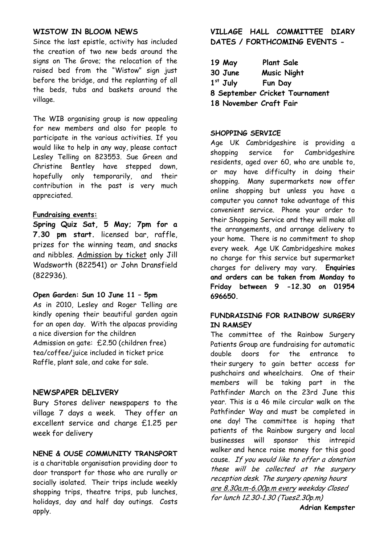#### **WISTOW IN BLOOM NEWS**

Since the last epistle, activity has included the creation of two new beds around the signs on The Grove; the relocation of the raised bed from the "Wistow" sign just before the bridge, and the replanting of all the beds, tubs and baskets around the village.

The WIB organising group is now appealing for new members and also for people to participate in the various activities. If you would like to help in any way, please contact Lesley Telling on 823553. Sue Green and Christine Bentley have stepped down, hopefully only temporarily, and their contribution in the past is very much appreciated.

#### **Fundraising events:**

**Spring Quiz Sat, 5 May; 7pm for a 7.30 pm start.** licensed bar, raffle, prizes for the winning team, and snacks and nibbles. Admission by ticket only Jill Wadsworth (822541) or John Dransfield (822936).

#### **Open Garden: Sun 10 June 11 – 5pm**

As in 2010, Lesley and Roger Telling are kindly opening their beautiful garden again for an open day. With the alpacas providing a nice diversion for the children Admission on gate: £2.50 (children free) tea/coffee/juice included in ticket price Raffle, plant sale, and cake for sale.

#### **NEWSPAPER DELIVERY**

Bury Stores deliver newspapers to the village 7 days a week. They offer an excellent service and charge £1.25 per week for delivery

#### **NENE & OUSE COMMUNITY TRANSPORT**

is a charitable organisation providing door to door transport for those who are rurally or socially isolated. Their trips include weekly shopping trips, theatre trips, pub lunches, holidays, day and half day outings. Costs apply.

#### **VILLAGE HALL COMMITTEE DIARY DATES / FORTHCOMING EVENTS -**

| $19$ May               | <b>Plant Sale</b>              |
|------------------------|--------------------------------|
| 30 June                | <b>Music Night</b>             |
| $1st$ July             | Fun Day                        |
|                        | 8 September Cricket Tournament |
| 18 November Craft Fair |                                |

#### **SHOPPING SERVICE**

Age UK Cambridgeshire is providing a shopping service for Cambridgeshire residents, aged over 60, who are unable to, or may have difficulty in doing their shopping. Many supermarkets now offer online shopping but unless you have a computer you cannot take advantage of this convenient service. Phone your order to their Shopping Service and they will make all the arrangements, and arrange delivery to your home. There is no commitment to shop every week. Age UK Cambridgeshire makes no charge for this service but supermarket charges for delivery may vary. **Enquiries and orders can be taken from Monday to Friday between 9 -12.30 on 01954 696650.**

#### **FUNDRAISING FOR RAINBOW SURGERY IN RAMSEY**

The committee of the Rainbow Surgery Patients Group are fundraising for automatic double doors for the entrance to their surgery to gain better access for pushchairs and wheelchairs. One of their members will be taking part in the Pathfinder March on the 23rd June this year. This is a 46 mile circular walk on the Pathfinder Way and must be completed in one day! The committee is hoping that patients of the Rainbow surgery and local businesses will sponsor this intrepid walker and hence raise money for this good cause. If you would like to offer a donation these will be collected at the surgery reception desk. The surgery opening hours are 8.30a.m-6.00p.m every weekday Closed for lunch 12.30-1.30 (Tues2.30p.m)

**Adrian Kempster**